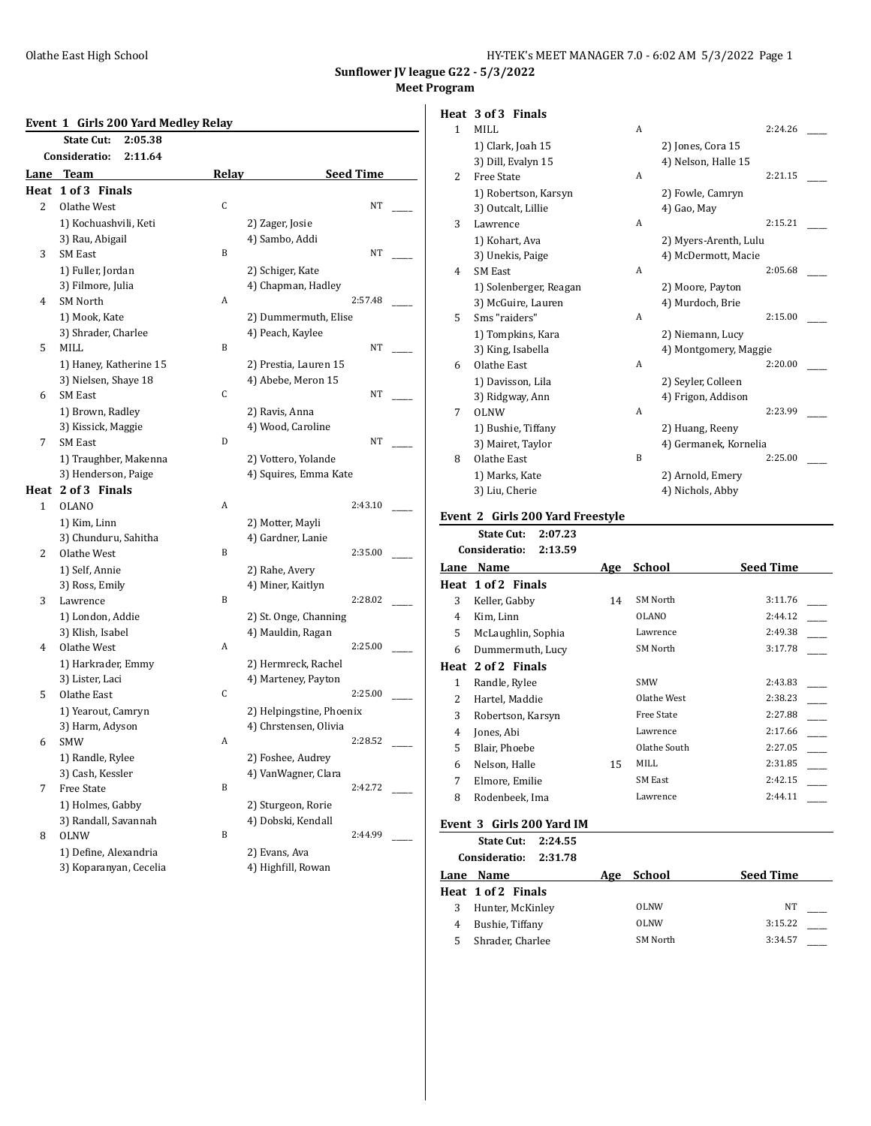## **Event 1 Girls 200 Yard Medley Relay**

|                | <b>State Cut:</b><br>2:05.38 |       |                                              |
|----------------|------------------------------|-------|----------------------------------------------|
|                | Consideratio:<br>2:11.64     |       |                                              |
| Lane           | <b>Team</b>                  | Relay | <b>Seed Time</b>                             |
| Heat           | 1 of 3 Finals                |       |                                              |
| $\overline{2}$ | Olathe West                  | C     | NT                                           |
|                | 1) Kochuashvili, Keti        |       | 2) Zager, Josie                              |
|                | 3) Rau, Abigail              |       | 4) Sambo, Addi                               |
| 3              | <b>SM East</b>               | B     | NT                                           |
|                | 1) Fuller, Jordan            |       | 2) Schiger, Kate                             |
|                | 3) Filmore, Julia            |       | 4) Chapman, Hadley                           |
| 4              | <b>SM North</b>              | A     | 2:57.48                                      |
|                | 1) Mook, Kate                |       | 2) Dummermuth, Elise                         |
|                | 3) Shrader, Charlee          |       | 4) Peach, Kaylee                             |
| 5              | MILL                         | B     | NT                                           |
|                | 1) Haney, Katherine 15       |       | 2) Prestia, Lauren 15                        |
|                | 3) Nielsen, Shaye 18         |       | 4) Abebe, Meron 15                           |
| 6              | <b>SM East</b>               | C     | NT                                           |
|                | 1) Brown, Radley             |       | 2) Ravis, Anna                               |
|                | 3) Kissick, Maggie           |       | 4) Wood, Caroline                            |
| 7              | <b>SM East</b>               | D     | NT                                           |
|                | 1) Traughber, Makenna        |       |                                              |
|                | 3) Henderson, Paige          |       | 2) Vottero, Yolande<br>4) Squires, Emma Kate |
|                |                              |       |                                              |
|                | Heat 2 of 3 Finals           |       |                                              |
| 1              | <b>OLANO</b>                 | A     | 2:43.10                                      |
|                | 1) Kim, Linn                 |       | 2) Motter, Mayli                             |
|                | 3) Chunduru, Sahitha         |       | 4) Gardner, Lanie                            |
| $\overline{2}$ | Olathe West                  | B     | 2:35.00                                      |
|                | 1) Self, Annie               |       | 2) Rahe, Avery                               |
|                | 3) Ross, Emily               |       | 4) Miner, Kaitlyn                            |
| 3              | Lawrence                     | B     | 2:28.02                                      |
|                | 1) London, Addie             |       | 2) St. Onge, Channing                        |
|                | 3) Klish, Isabel             |       | 4) Mauldin, Ragan                            |
| 4              | Olathe West                  | A     | 2:25.00                                      |
|                | 1) Harkrader, Emmy           |       | 2) Hermreck, Rachel                          |
|                | 3) Lister, Laci              |       | 4) Marteney, Payton                          |
| 5              | Olathe East                  | C     | 2:25.00                                      |
|                | 1) Yearout, Camryn           |       | 2) Helpingstine, Phoenix                     |
|                | 3) Harm, Adyson              |       | 4) Chrstensen, Olivia                        |
| 6              | <b>SMW</b>                   | A     | 2:28.52                                      |
|                | 1) Randle, Rylee             |       | 2) Foshee, Audrey                            |
|                | 3) Cash, Kessler             |       | 4) VanWagner, Clara                          |
| 7              | <b>Free State</b>            | B     | 2:42.72                                      |
|                | 1) Holmes, Gabby             |       | 2) Sturgeon, Rorie                           |
|                | 3) Randall, Savannah         |       | 4) Dobski, Kendall                           |
| 8              | <b>OLNW</b>                  | B     | 2:44.99                                      |
|                | 1) Define, Alexandria        |       | 2) Evans, Ava                                |
|                | 3) Koparanyan, Cecelia       |       | 4) Highfill, Rowan                           |

# **Heat 3 of 3 Finals**

| $\mathbf{1}$ | MILL                   | A              |                       | 2:24.26 |  |
|--------------|------------------------|----------------|-----------------------|---------|--|
|              | 1) Clark, Joah 15      |                | 2) Jones, Cora 15     |         |  |
|              | 3) Dill, Evalyn 15     |                | 4) Nelson, Halle 15   |         |  |
| 2            | <b>Free State</b>      | $\overline{A}$ |                       | 2:21.15 |  |
|              | 1) Robertson, Karsyn   |                | 2) Fowle, Camryn      |         |  |
|              | 3) Outcalt, Lillie     |                | 4) Gao, May           |         |  |
| 3            | Lawrence               | A              |                       | 2:15.21 |  |
|              | 1) Kohart, Ava         |                | 2) Myers-Arenth, Lulu |         |  |
|              | 3) Unekis, Paige       |                | 4) McDermott, Macie   |         |  |
| 4            | <b>SM East</b>         | A              |                       | 2:05.68 |  |
|              | 1) Solenberger, Reagan |                | 2) Moore, Payton      |         |  |
|              | 3) McGuire, Lauren     |                | 4) Murdoch, Brie      |         |  |
| 5            | Sms "raiders"          | $\overline{A}$ |                       | 2:15.00 |  |
|              | 1) Tompkins, Kara      |                | 2) Niemann, Lucy      |         |  |
|              | 3) King, Isabella      |                | 4) Montgomery, Maggie |         |  |
| 6            | Olathe East            | A              |                       | 2:20.00 |  |
|              | 1) Davisson, Lila      |                | 2) Seyler, Colleen    |         |  |
|              | 3) Ridgway, Ann        |                | 4) Frigon, Addison    |         |  |
| 7            | OLNW                   | $\overline{A}$ |                       | 2:23.99 |  |
|              | 1) Bushie, Tiffany     |                | 2) Huang, Reeny       |         |  |
|              | 3) Mairet, Taylor      |                | 4) Germanek, Kornelia |         |  |
| 8            | Olathe East            | B              |                       | 2:25.00 |  |
|              | 1) Marks, Kate         |                | 2) Arnold, Emery      |         |  |
|              | 3) Liu, Cherie         |                | 4) Nichols, Abby      |         |  |
|              |                        |                |                       |         |  |

# **Event 2 Girls 200 Yard Freestyle**

**State Cut: 2:07.23**

|                | Consideratio:<br>2:13.59 |     |                   |                  |
|----------------|--------------------------|-----|-------------------|------------------|
| Lane           | Name                     | Age | School            | <b>Seed Time</b> |
| Heat           | 1 of 2 Finals            |     |                   |                  |
| 3              | Keller, Gabby            | 14  | SM North          | 3:11.76          |
| 4              | Kim, Linn                |     | <b>OLANO</b>      | 2:44.12          |
| 5              | McLaughlin, Sophia       |     | Lawrence          | 2:49.38          |
| 6              | Dummermuth, Lucy         |     | SM North          | 3:17.78          |
|                | Heat 2 of 2 Finals       |     |                   |                  |
| 1              | Randle, Rylee            |     | <b>SMW</b>        | 2:43.83          |
| $\overline{2}$ | Hartel, Maddie           |     | Olathe West       | 2:38.23          |
| 3              | Robertson, Karsyn        |     | <b>Free State</b> | 2:27.88          |
| 4              | Jones, Abi               |     | Lawrence          | 2:17.66          |
| 5              | Blair, Phoebe            |     | Olathe South      | 2:27.05          |
| 6              | Nelson, Halle            | 15  | MILL              | 2:31.85          |
| 7              | Elmore, Emilie           |     | SM East           | 2:42.15          |
| 8              | Rodenbeek, Ima           |     | Lawrence          | 2:44.11          |
|                |                          |     |                   |                  |

#### **Event 3 Girls 200 Yard IM**

**State Cut: 2:24.55**

| Consideratio:<br>2:31.78 |     |             |                  |
|--------------------------|-----|-------------|------------------|
| Lane Name                | Age | School      | <b>Seed Time</b> |
| Heat 1 of 2 Finals       |     |             |                  |
| Hunter, McKinley         |     | <b>OLNW</b> | NΤ               |
| Bushie, Tiffany          |     | OLNW        | 3:15.22          |
| Shrader, Charlee         |     | SM North    | 3:34.57          |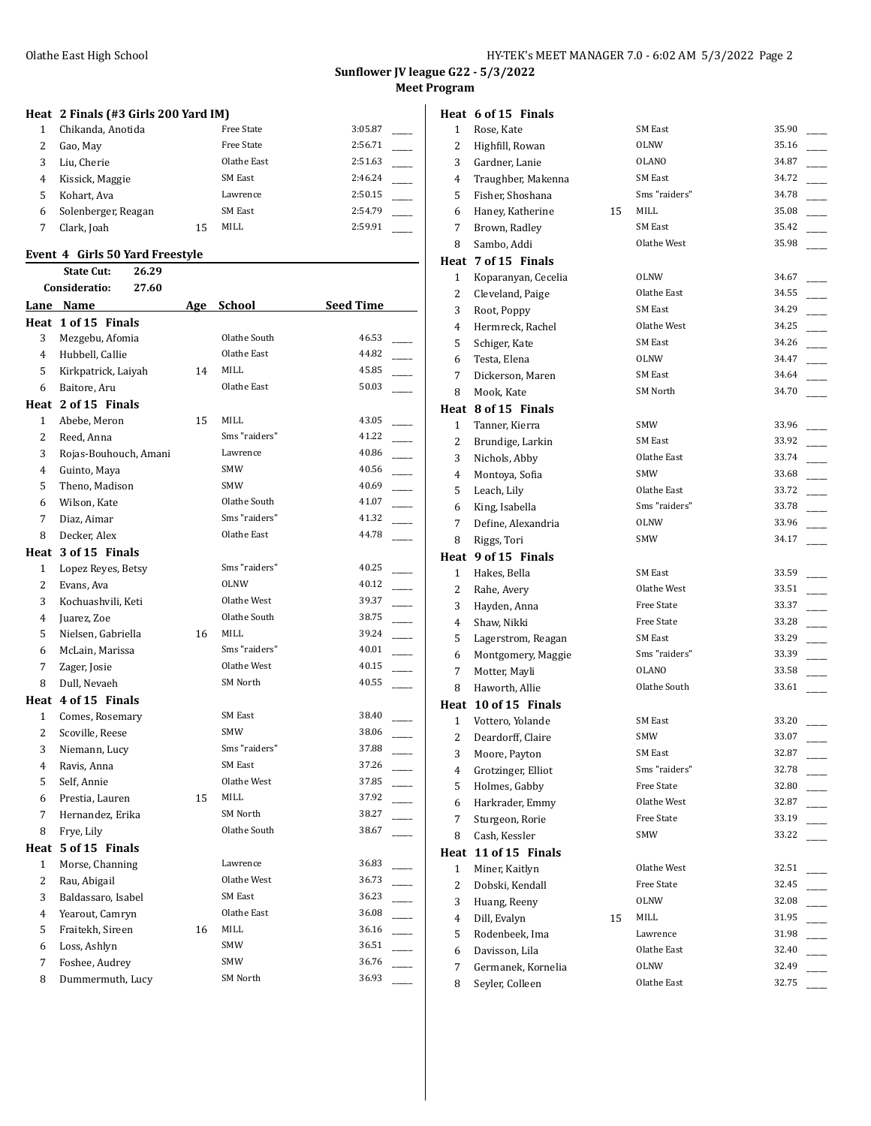# **Heat 2 Finals (#3 Girls 200 Yard IM)**

| Chikanda, Anotida   |    | <b>Free State</b> | 3:05.87 |  |
|---------------------|----|-------------------|---------|--|
| Gao, May            |    | <b>Free State</b> | 2:56.71 |  |
| Liu. Cherie         |    | Olathe East       | 2:51.63 |  |
| Kissick, Maggie     |    | SM East           | 2:46.24 |  |
| Kohart. Ava         |    | Lawrence          | 2:50.15 |  |
| Solenberger, Reagan |    | SM East           | 2:54.79 |  |
| Clark, Joah         | 15 | MILL              | 2:59.91 |  |
|                     |    |                   |         |  |

#### **Event 4 Girls 50 Yard Freestyle**

#### **State Cut: 26.29 Consideratio: 27.60**

|                | consideratio:<br>27.OU |    |                |                                   |
|----------------|------------------------|----|----------------|-----------------------------------|
|                | Lane Name              |    | Age School     | Seed Time                         |
|                | Heat 1 of 15 Finals    |    |                |                                   |
| 3              | Mezgebu, Afomia        |    | Olathe South   | 46.53                             |
| $\overline{4}$ | Hubbell, Callie        |    | Olathe East    | 44.82                             |
| 5              | Kirkpatrick, Laiyah    | 14 | <b>MILL</b>    | 45.85                             |
| 6              | Baitore, Aru           |    | Olathe East    | 50.03                             |
|                | Heat 2 of 15 Finals    |    |                |                                   |
| $\mathbf{1}$   | Abebe, Meron           | 15 | <b>MILL</b>    | 43.05                             |
| 2              | Reed, Anna             |    | Sms "raiders"  | 41.22                             |
| 3              | Rojas-Bouhouch, Amani  |    | Lawrence       | 40.86                             |
| 4              | Guinto, Maya           |    | <b>SMW</b>     | 40.56                             |
| 5              | Theno, Madison         |    | <b>SMW</b>     | 40.69                             |
| 6              | Wilson, Kate           |    | Olathe South   | 41.07                             |
| 7              | Diaz, Aimar            |    | Sms "raiders"  | 41.32                             |
| 8              | Decker, Alex           |    | Olathe East    | 44.78                             |
|                | Heat 3 of 15 Finals    |    |                |                                   |
| 1              | Lopez Reyes, Betsy     |    | Sms "raiders"  | 40.25                             |
| $\overline{c}$ | Evans, Ava             |    | <b>OLNW</b>    | 40.12                             |
| 3              | Kochuashvili, Keti     |    | Olathe West    | 39.37                             |
| 4              | Juarez, Zoe            |    | Olathe South   | 38.75                             |
| 5              | Nielsen, Gabriella     | 16 | <b>MILL</b>    | 39.24                             |
| 6              | McLain, Marissa        |    | Sms "raiders"  | 40.01                             |
| 7              | Zager, Josie           |    | Olathe West    | 40.15                             |
| 8              | Dull, Nevaeh           |    | SM North       | 40.55                             |
|                | Heat 4 of 15 Finals    |    |                |                                   |
| $\mathbf{1}$   | Comes, Rosemary        |    | <b>SM East</b> | 38.40                             |
| 2              | Scoville, Reese        |    | <b>SMW</b>     | 38.06                             |
| 3              | Niemann, Lucy          |    | Sms "raiders"  | 37.88                             |
| 4              | Ravis, Anna            |    | <b>SM East</b> | 37.26<br>$\overline{\phantom{a}}$ |
| 5              | Self, Annie            |    | Olathe West    | 37.85                             |
| 6              | Prestia, Lauren        | 15 | MILL           | 37.92                             |
| 7              | Hernandez, Erika       |    | SM North       | 38.27                             |
| 8              | Frye, Lily             |    | Olathe South   | 38.67                             |
|                | Heat 5 of 15 Finals    |    |                |                                   |
| $\mathbf{1}$   | Morse, Channing        |    | Lawrence       | 36.83                             |
| 2              | Rau, Abigail           |    | Olathe West    | 36.73                             |
| 3              | Baldassaro, Isabel     |    | <b>SM East</b> | 36.23<br>$\overline{\phantom{a}}$ |
| 4              | Yearout, Camryn        |    | Olathe East    | 36.08                             |
| 5              | Fraitekh, Sireen       | 16 | <b>MILL</b>    | 36.16                             |
| 6              | Loss, Ashlyn           |    | <b>SMW</b>     | 36.51                             |
| 7              | Foshee, Audrey         |    | SMW            | 36.76                             |
| 8              | Dummermuth, Lucy       |    | SM North       | 36.93                             |
|                |                        |    |                |                                   |

|                | Heat 6 of 15 Finals  |    |                   |       |
|----------------|----------------------|----|-------------------|-------|
| $\mathbf{1}$   | Rose, Kate           |    | <b>SM East</b>    | 35.90 |
| 2              | Highfill, Rowan      |    | <b>OLNW</b>       | 35.16 |
| 3              | Gardner, Lanie       |    | <b>OLANO</b>      | 34.87 |
| 4              | Traughber, Makenna   |    | <b>SM East</b>    | 34.72 |
| 5              | Fisher, Shoshana     |    | Sms "raiders"     | 34.78 |
| 6              | Haney, Katherine     | 15 | MILL              | 35.08 |
| 7              | Brown, Radley        |    | <b>SM East</b>    | 35.42 |
| 8              | Sambo, Addi          |    | Olathe West       | 35.98 |
|                | Heat 7 of 15 Finals  |    |                   |       |
| 1              | Koparanyan, Cecelia  |    | <b>OLNW</b>       | 34.67 |
| 2              | Cleveland, Paige     |    | Olathe East       | 34.55 |
| 3              | Root, Poppy          |    | <b>SM East</b>    | 34.29 |
| $\overline{4}$ | Hermreck, Rachel     |    | Olathe West       | 34.25 |
| 5              | Schiger, Kate        |    | <b>SM East</b>    | 34.26 |
| 6              | Testa, Elena         |    | <b>OLNW</b>       | 34.47 |
| 7              | Dickerson, Maren     |    | SM East           | 34.64 |
| 8              | Mook, Kate           |    | SM North          | 34.70 |
|                | Heat 8 of 15 Finals  |    |                   |       |
| 1              | Tanner, Kierra       |    | <b>SMW</b>        | 33.96 |
| 2              | Brundige, Larkin     |    | SM East           | 33.92 |
| 3              | Nichols, Abby        |    | Olathe East       | 33.74 |
| 4              | Montoya, Sofia       |    | SMW               | 33.68 |
| 5              | Leach, Lily          |    | Olathe East       | 33.72 |
| 6              | King, Isabella       |    | Sms "raiders"     | 33.78 |
| 7              | Define, Alexandria   |    | <b>OLNW</b>       | 33.96 |
| 8              | Riggs, Tori          |    | SMW               | 34.17 |
|                | Heat 9 of 15 Finals  |    |                   |       |
| 1              | Hakes, Bella         |    | <b>SM East</b>    | 33.59 |
| 2              | Rahe, Avery          |    | Olathe West       | 33.51 |
| 3              | Hayden, Anna         |    | Free State        | 33.37 |
| $\overline{4}$ | Shaw, Nikki          |    | Free State        | 33.28 |
| 5              | Lagerstrom, Reagan   |    | <b>SM East</b>    | 33.29 |
| 6              | Montgomery, Maggie   |    | Sms "raiders"     | 33.39 |
| 7              | Motter, Mayli        |    | <b>OLANO</b>      | 33.58 |
| 8              | Haworth, Allie       |    | Olathe South      | 33.61 |
|                | Heat 10 of 15 Finals |    |                   |       |
| 1              | Vottero, Yolande     |    | SM East           | 33.20 |
| 2              | Deardorff, Claire    |    | <b>SMW</b>        | 33.07 |
| 3              | Moore, Payton        |    | <b>SM East</b>    | 32.87 |
| 4              | Grotzinger, Elliot   |    | Sms "raiders"     | 32.78 |
| 5              | Holmes, Gabby        |    | Free State        | 32.80 |
| 6              | Harkrader, Emmy      |    | Olathe West       | 32.87 |
| 7              | Sturgeon, Rorie      |    | <b>Free State</b> | 33.19 |

8 Cash, Kessler SMW SMW 33.22

1 Miner, Kaitlyn Olathe West 32.51 2 Dobski, Kendall Free State 32.45 Huang, Reeny OLNW 32.08 \_\_\_\_\_ 4 Dill, Evalyn 15 MILL 31.95 5 Rodenbeek, Ima Lawrence 21.98 Davisson, Lila Olathe East 32.40 \_\_\_\_\_ Germanek, Kornelia OLNW 32.49 \_\_\_\_\_ 8 Seyler, Colleen Olathe East 32.75

**Heat 11 of 15 Finals**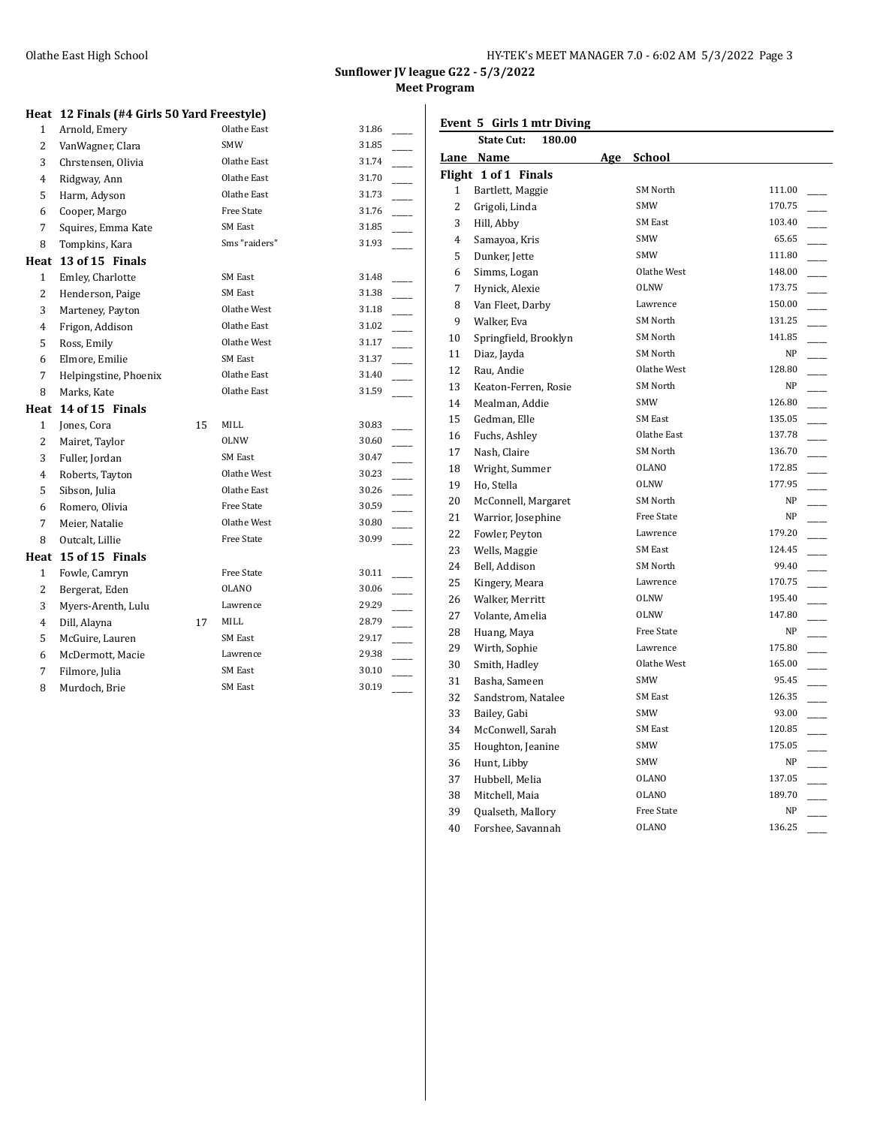| HY-TEK's MEET MANAGER 7.0 - 6:02 AM 5/3/2022 Page 3 |
|-----------------------------------------------------|
|-----------------------------------------------------|

**Event 5 Girls 1 mtr Diving**

# **Heat 12 Finals (#4 Girls 50 Yard Freestyle)**

| 1              | Arnold, Emery         |    | Olathe East       | 31.86                   |
|----------------|-----------------------|----|-------------------|-------------------------|
| 2              | VanWagner, Clara      |    | <b>SMW</b>        | 31.85                   |
| 3              | Chrstensen, Olivia    |    | Olathe East       | 31.74                   |
| 4              | Ridgway, Ann          |    | Olathe East       | 31.70                   |
| 5              | Harm, Adyson          |    | Olathe East       | 31.73                   |
| 6              | Cooper, Margo         |    | <b>Free State</b> | 31.76                   |
| 7              | Squires, Emma Kate    |    | <b>SM East</b>    | 31.85                   |
| 8              | Tompkins, Kara        |    | Sms "raiders"     | 31.93                   |
| Heat           | 13 of 15 Finals       |    |                   |                         |
| $\mathbf{1}$   | Emley, Charlotte      |    | <b>SM East</b>    | 31.48                   |
| $\overline{2}$ | Henderson, Paige      |    | <b>SM East</b>    | 31.38                   |
| 3              | Marteney, Payton      |    | Olathe West       | 31.18                   |
| 4              | Frigon, Addison       |    | Olathe East       | 31.02<br>$\mathcal{L}$  |
| 5              | Ross, Emily           |    | Olathe West       | 31.17                   |
| 6              | Elmore, Emilie        |    | <b>SM East</b>    | 31.37                   |
| 7              | Helpingstine, Phoenix |    | Olathe East       | 31.40                   |
| 8              | Marks, Kate           |    | Olathe East       | 31.59                   |
| Heat           | 14 of 15 Finals       |    |                   |                         |
| $\mathbf{1}$   | Jones, Cora           | 15 | MILL              | 30.83                   |
| $\overline{2}$ | Mairet, Taylor        |    | <b>OLNW</b>       | 30.60                   |
| 3              | Fuller, Jordan        |    | <b>SM East</b>    | 30.47<br>$\overline{a}$ |
| 4              | Roberts, Tayton       |    | Olathe West       | 30.23                   |
| 5              | Sibson, Julia         |    | Olathe East       | $\overline{a}$<br>30.26 |
| 6              | Romero, Olivia        |    | Free State        | 30.59                   |
| 7              | Meier, Natalie        |    | Olathe West       | 30.80                   |
| 8              | Outcalt, Lillie       |    | <b>Free State</b> | 30.99                   |
| Heat           | 15 of 15 Finals       |    |                   |                         |
| $\mathbf{1}$   | Fowle, Camryn         |    | Free State        | 30.11                   |
| $\overline{c}$ | Bergerat, Eden        |    | <b>OLANO</b>      | 30.06                   |
| 3              | Myers-Arenth, Lulu    |    | Lawrence          | 29.29                   |
| 4              | Dill, Alayna          | 17 | MILL              | 28.79                   |
| 5              | McGuire, Lauren       |    | <b>SM East</b>    | 29.17                   |
| 6              | McDermott, Macie      |    | Lawrence          | 29.38                   |
| 7              | Filmore, Julia        |    | SM East           | 30.10                   |
| 8              | Murdoch, Brie         |    | <b>SM East</b>    | 30.19                   |
|                |                       |    |                   |                         |

|                | <b>State Cut:</b><br>180.00 |     |                   |        |  |
|----------------|-----------------------------|-----|-------------------|--------|--|
| Lane           | <b>Name</b>                 | Age | School            |        |  |
|                | Flight 1 of 1 Finals        |     |                   |        |  |
| 1              | Bartlett, Maggie            |     | SM North          | 111.00 |  |
| $\overline{2}$ | Grigoli, Linda              |     | <b>SMW</b>        | 170.75 |  |
| 3              | Hill, Abby                  |     | <b>SM East</b>    | 103.40 |  |
| $\overline{4}$ | Samayoa, Kris               |     | <b>SMW</b>        | 65.65  |  |
| 5              | Dunker, Jette               |     | <b>SMW</b>        | 111.80 |  |
| 6              | Simms, Logan                |     | Olathe West       | 148.00 |  |
| 7              | Hynick, Alexie              |     | <b>OLNW</b>       | 173.75 |  |
| 8              | Van Fleet, Darby            |     | Lawrence          | 150.00 |  |
| 9              | Walker, Eva                 |     | SM North          | 131.25 |  |
| 10             | Springfield, Brooklyn       |     | SM North          | 141.85 |  |
| 11             | Diaz, Jayda                 |     | SM North          | NP     |  |
| 12             | Rau, Andie                  |     | Olathe West       | 128.80 |  |
| 13             | Keaton-Ferren, Rosie        |     | SM North          | NP     |  |
| 14             | Mealman, Addie              |     | <b>SMW</b>        | 126.80 |  |
| 15             | Gedman, Elle                |     | <b>SM East</b>    | 135.05 |  |
| 16             | Fuchs, Ashley               |     | Olathe East       | 137.78 |  |
| 17             | Nash, Claire                |     | SM North          | 136.70 |  |
| 18             | Wright, Summer              |     | <b>OLANO</b>      | 172.85 |  |
| 19             | Ho, Stella                  |     | OLNW              | 177.95 |  |
| 20             | McConnell, Margaret         |     | SM North          | NP     |  |
| 21             | Warrior, Josephine          |     | <b>Free State</b> | NP     |  |
| 22             | Fowler, Peyton              |     | Lawrence          | 179.20 |  |
| 23             | Wells, Maggie               |     | <b>SM East</b>    | 124.45 |  |
| 24             | Bell, Addison               |     | SM North          | 99.40  |  |
| 25             | Kingery, Meara              |     | Lawrence          | 170.75 |  |
| 26             | Walker, Merritt             |     | OLNW              | 195.40 |  |
| 27             | Volante, Amelia             |     | <b>OLNW</b>       | 147.80 |  |
| 28             | Huang, Maya                 |     | <b>Free State</b> | NP     |  |
| 29             | Wirth, Sophie               |     | Lawrence          | 175.80 |  |
| 30             | Smith, Hadley               |     | Olathe West       | 165.00 |  |
| 31             | Basha, Sameen               |     | <b>SMW</b>        | 95.45  |  |
| 32             | Sandstrom, Natalee          |     | <b>SM East</b>    | 126.35 |  |
| 33             | Bailey, Gabi                |     | <b>SMW</b>        | 93.00  |  |
| 34             | McConwell, Sarah            |     | <b>SM East</b>    | 120.85 |  |
| 35             | Houghton, Jeanine           |     | <b>SMW</b>        | 175.05 |  |
| 36             | Hunt, Libby                 |     | SMW               | NP     |  |
| 37             | Hubbell, Melia              |     | OLANO             | 137.05 |  |
| 38             | Mitchell, Maia              |     | <b>OLANO</b>      | 189.70 |  |
| 39             | Qualseth, Mallory           |     | <b>Free State</b> | NP     |  |
| 40             | Forshee, Savannah           |     | <b>OLANO</b>      | 136.25 |  |
|                |                             |     |                   |        |  |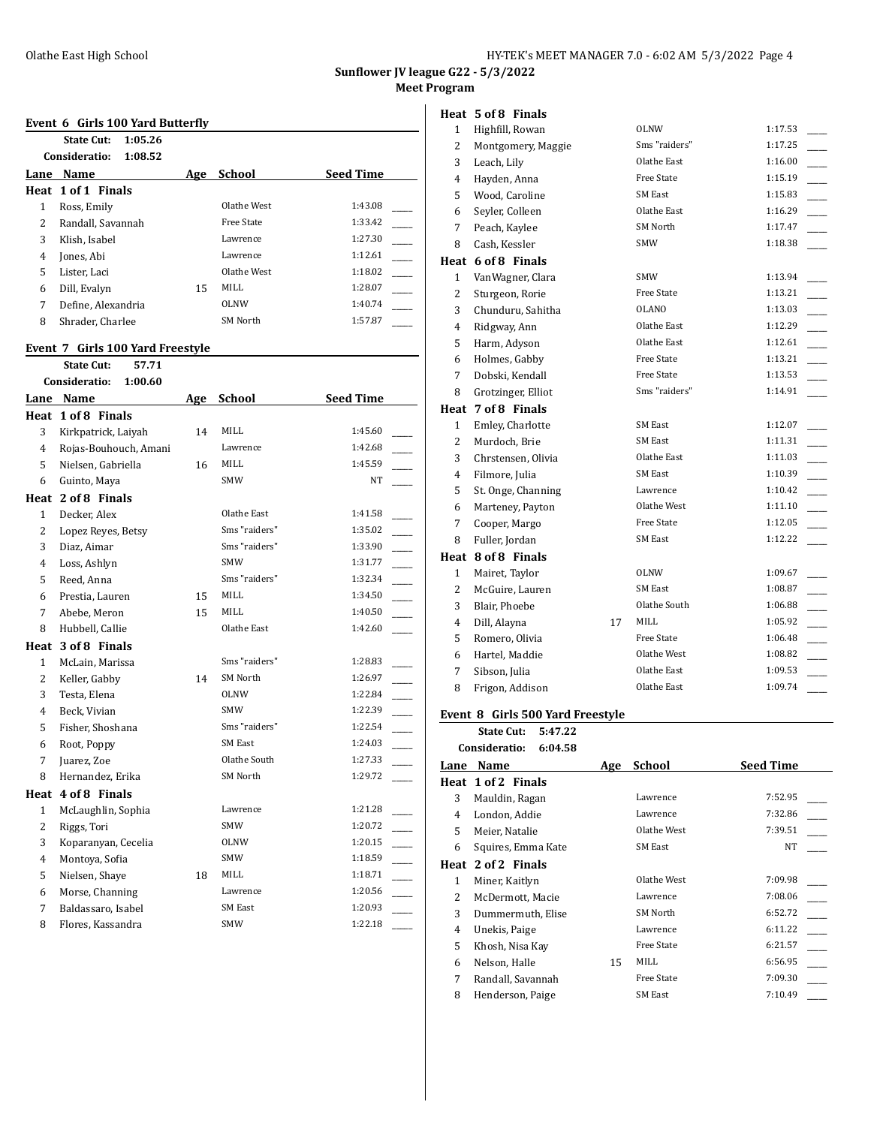**Sunflower JV league G22 - 5/3/2022**

**Meet Program**

## **Event 6 Girls 100 Yard Butterfly**

|      | State Cut:<br>1:05.26    |     |               |                  |
|------|--------------------------|-----|---------------|------------------|
|      | Consideratio:<br>1:08.52 |     |               |                  |
| Lane | Name                     | Age | <b>School</b> | <b>Seed Time</b> |
|      | Heat 1 of 1 Finals       |     |               |                  |
| 1    | Ross, Emily              |     | Olathe West   | 1:43.08          |
| 2    | Randall, Savannah        |     | Free State    | 1:33.42          |
| 3    | Klish. Isabel            |     | Lawrence      | 1:27.30          |
| 4    | Jones, Abi               |     | Lawrence      | 1:12.61          |
| 5    | Lister, Laci             |     | Olathe West   | 1:18.02          |
| 6    | Dill, Evalyn             | 15  | MILL.         | 1:28.07          |
| 7    | Define, Alexandria       |     | <b>OLNW</b>   | 1:40.74          |
| 8    | Shrader, Charlee         |     | SM North      | 1:57.87          |

#### **Event 7 Girls 100 Yard Freestyle**

**State Cut: 57.71 Consideratio: 1:00.60**

| Lane           | Name                  | Age | <b>School</b>  | <b>Seed Time</b> |
|----------------|-----------------------|-----|----------------|------------------|
| Heat           | 1 of 8 Finals         |     |                |                  |
| 3              | Kirkpatrick, Laiyah   | 14  | <b>MILL</b>    | 1:45.60          |
| 4              | Rojas-Bouhouch, Amani |     | Lawrence       | 1:42.68          |
| 5              | Nielsen, Gabriella    | 16  | MILL           | 1:45.59          |
| 6              | Guinto, Maya          |     | <b>SMW</b>     | NT               |
| Heat           | 2 of 8 Finals         |     |                |                  |
| $\mathbf{1}$   | Decker, Alex          |     | Olathe East    | 1:41.58          |
| $\overline{2}$ | Lopez Reyes, Betsy    |     | Sms "raiders"  | 1:35.02          |
| 3              | Diaz, Aimar           |     | Sms "raiders"  | 1:33.90          |
| 4              | Loss, Ashlyn          |     | <b>SMW</b>     | 1:31.77          |
| 5              | Reed, Anna            |     | Sms "raiders"  | 1:32.34          |
| 6              | Prestia, Lauren       | 15  | <b>MILL</b>    | 1:34.50          |
| 7              | Abebe, Meron          | 15  | <b>MILL</b>    | 1:40.50          |
| 8              | Hubbell, Callie       |     | Olathe East    | 1:42.60          |
|                | Heat 3 of 8 Finals    |     |                |                  |
| $\mathbf{1}$   | McLain, Marissa       |     | Sms "raiders"  | 1:28.83          |
| $\overline{2}$ | Keller, Gabby         | 14  | SM North       | 1:26.97          |
| 3              | Testa, Elena          |     | <b>OLNW</b>    | 1:22.84          |
| 4              | Beck, Vivian          |     | <b>SMW</b>     | 1:22.39          |
| 5              | Fisher, Shoshana      |     | Sms "raiders"  | 1:22.54          |
| 6              | Root, Poppy           |     | SM East        | 1:24.03          |
| 7              | Juarez, Zoe           |     | Olathe South   | 1:27.33          |
| 8              | Hernandez, Erika      |     | SM North       | 1:29.72          |
|                | Heat 4 of 8 Finals    |     |                |                  |
| $\mathbf{1}$   | McLaughlin, Sophia    |     | Lawrence       | 1:21.28          |
| 2              | Riggs, Tori           |     | <b>SMW</b>     | 1:20.72          |
| 3              | Koparanyan, Cecelia   |     | <b>OLNW</b>    | 1:20.15          |
| 4              | Montoya, Sofia        |     | <b>SMW</b>     | 1:18.59          |
| 5              | Nielsen, Shaye        | 18  | MILL           | 1:18.71          |
| 6              | Morse, Channing       |     | Lawrence       | 1:20.56          |
| 7              | Baldassaro, Isabel    |     | <b>SM East</b> | 1:20.93          |
| 8              | Flores, Kassandra     |     | <b>SMW</b>     | 1:22.18          |
|                |                       |     |                |                  |

# **Heat 5 of 8 Finals**

| $\mathbf{1}$   | Highfill, Rowan    |    | <b>OLNW</b>       | 1:17.53 |
|----------------|--------------------|----|-------------------|---------|
| 2              | Montgomery, Maggie |    | Sms "raiders"     | 1:17.25 |
| 3              | Leach, Lily        |    | Olathe East       | 1:16.00 |
| 4              | Hayden, Anna       |    | <b>Free State</b> | 1:15.19 |
| 5              | Wood, Caroline     |    | <b>SM East</b>    | 1:15.83 |
| 6              | Seyler, Colleen    |    | Olathe East       | 1:16.29 |
| 7              | Peach, Kaylee      |    | <b>SM North</b>   | 1:17.47 |
| 8              | Cash, Kessler      |    | <b>SMW</b>        | 1:18.38 |
|                | Heat 6 of 8 Finals |    |                   |         |
| 1              | VanWagner, Clara   |    | SMW               | 1:13.94 |
| $\overline{2}$ | Sturgeon, Rorie    |    | <b>Free State</b> | 1:13.21 |
| 3              | Chunduru, Sahitha  |    | <b>OLANO</b>      | 1:13.03 |
| 4              | Ridgway, Ann       |    | Olathe East       | 1:12.29 |
| 5              | Harm, Adyson       |    | Olathe East       | 1:12.61 |
| 6              | Holmes, Gabby      |    | <b>Free State</b> | 1:13.21 |
| 7              | Dobski, Kendall    |    | <b>Free State</b> | 1:13.53 |
| 8              | Grotzinger, Elliot |    | Sms "raiders"     | 1:14.91 |
| Heat           | 7 of 8 Finals      |    |                   |         |
| $\mathbf{1}$   | Emley, Charlotte   |    | <b>SM East</b>    | 1:12.07 |
| 2              | Murdoch, Brie      |    | <b>SM East</b>    | 1:11.31 |
| 3              | Chrstensen, Olivia |    | Olathe East       | 1:11.03 |
| 4              | Filmore, Julia     |    |                   |         |
|                |                    |    | <b>SM East</b>    | 1:10.39 |
| 5              | St. Onge, Channing |    | Lawrence          | 1:10.42 |
| 6              | Marteney, Payton   |    | Olathe West       | 1:11.10 |
| 7              | Cooper, Margo      |    | <b>Free State</b> | 1:12.05 |
| 8              | Fuller, Jordan     |    | <b>SM East</b>    | 1:12.22 |
|                | Heat 8 of 8 Finals |    |                   |         |
| $\mathbf{1}$   | Mairet, Taylor     |    | OLNW              | 1:09.67 |
| 2              | McGuire, Lauren    |    | <b>SM East</b>    | 1:08.87 |
| 3              | Blair, Phoebe      |    | Olathe South      | 1:06.88 |
| 4              | Dill, Alayna       | 17 | MILL              | 1:05.92 |
| 5              | Romero, Olivia     |    | <b>Free State</b> | 1:06.48 |
| 6              | Hartel, Maddie     |    | Olathe West       | 1:08.82 |
| 7              | Sibson, Julia      |    | Olathe East       | 1:09.53 |

#### **Event 8 Girls 500 Yard Freestyle**

**State Cut: 5:47.22**

|      | Consideratio:<br>6:04.58 |     |                   |                  |
|------|--------------------------|-----|-------------------|------------------|
| Lane | Name                     | Age | <b>School</b>     | <b>Seed Time</b> |
|      | Heat 1 of 2 Finals       |     |                   |                  |
| 3    | Mauldin, Ragan           |     | Lawrence          | 7:52.95          |
| 4    | London, Addie            |     | Lawrence          | 7:32.86          |
| 5.   | Meier, Natalie           |     | Olathe West       | 7:39.51          |
| 6    | Squires, Emma Kate       |     | SM East           | NT.              |
|      | Heat 2 of 2 Finals       |     |                   |                  |
| 1    | Miner, Kaitlyn           |     | Olathe West       | 7:09.98          |
| 2    | McDermott, Macie         |     | Lawrence          | 7:08.06          |
| 3    | Dummermuth, Elise        |     | SM North          | 6:52.72          |
| 4    | Unekis, Paige            |     | Lawrence          | 6:11.22          |
| 5    | Khosh, Nisa Kay          |     | <b>Free State</b> | 6:21.57          |
| 6    | Nelson, Halle            | 15  | MILL              | 6:56.95          |
| 7    | Randall, Savannah        |     | <b>Free State</b> | 7:09.30          |
| 8    | Henderson, Paige         |     | <b>SM East</b>    | 7:10.49          |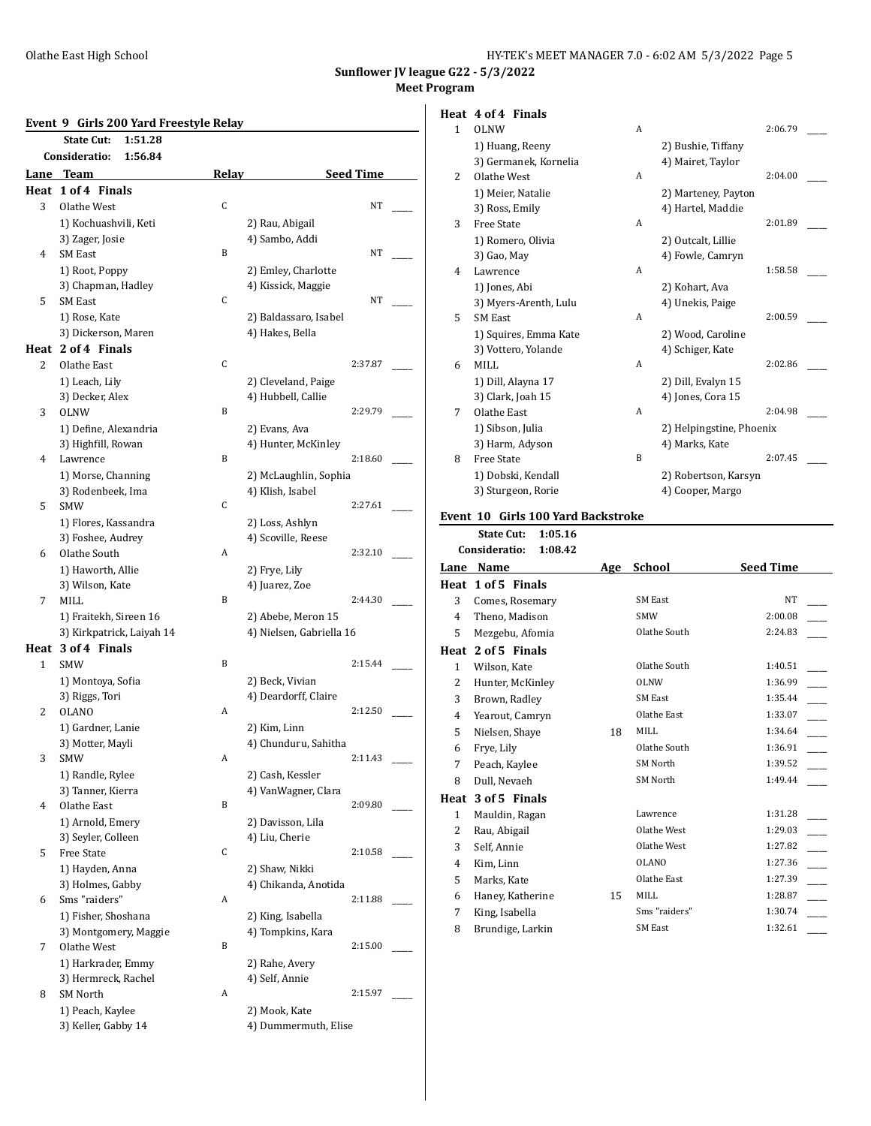| HY-TEK's MEET MANAGER 7.0 - 6:02 AM 5/3/2022 Page 5 |  |  |
|-----------------------------------------------------|--|--|
|-----------------------------------------------------|--|--|

# **Event 9 Girls 200 Yard Freestyle Relay**

| Event 9        | Girls 200 Yard Freestyle Relay        |       |                                         |  |
|----------------|---------------------------------------|-------|-----------------------------------------|--|
|                | <b>State Cut:</b><br>1:51.28          |       |                                         |  |
|                | Consideratio:<br>1:56.84              |       |                                         |  |
|                | Lane Team                             | Relay | <b>Seed Time</b>                        |  |
|                | Heat 1 of 4 Finals                    |       |                                         |  |
| 3              | Olathe West                           | C     | NT                                      |  |
|                | 1) Kochuashvili, Keti                 |       | 2) Rau, Abigail                         |  |
| $\overline{4}$ | 3) Zager, Josie<br><b>SM East</b>     | B     | 4) Sambo, Addi<br>NT                    |  |
|                |                                       |       | 2) Emley, Charlotte                     |  |
|                | 1) Root, Poppy<br>3) Chapman, Hadley  |       | 4) Kissick, Maggie                      |  |
| 5              | <b>SM East</b>                        | C     | NT                                      |  |
|                | 1) Rose, Kate                         |       | 2) Baldassaro, Isabel                   |  |
|                | 3) Dickerson, Maren                   |       | 4) Hakes, Bella                         |  |
|                | Heat 2 of 4 Finals                    |       |                                         |  |
| 2              | Olathe East                           | C     | 2:37.87                                 |  |
|                | 1) Leach, Lily                        |       | 2) Cleveland, Paige                     |  |
|                | 3) Decker, Alex                       |       | 4) Hubbell, Callie                      |  |
| 3              | OLNW                                  | B     | 2:29.79                                 |  |
|                | 1) Define, Alexandria                 |       | 2) Evans, Ava                           |  |
|                | 3) Highfill, Rowan                    |       | 4) Hunter, McKinley                     |  |
| $\overline{4}$ | Lawrence                              | B     | 2:18.60                                 |  |
|                | 1) Morse, Channing                    |       | 2) McLaughlin, Sophia                   |  |
|                | 3) Rodenbeek, Ima                     |       | 4) Klish, Isabel                        |  |
| 5              | <b>SMW</b>                            | C     | 2:27.61                                 |  |
|                | 1) Flores, Kassandra                  |       | 2) Loss, Ashlyn                         |  |
|                | 3) Foshee, Audrey                     |       | 4) Scoville, Reese                      |  |
| 6              | Olathe South                          | А     | 2:32.10                                 |  |
|                | 1) Haworth, Allie                     |       | 2) Frye, Lily                           |  |
|                | 3) Wilson, Kate                       |       | 4) Juarez, Zoe                          |  |
| 7              | MILL                                  | B     | 2:44.30                                 |  |
|                | 1) Fraitekh, Sireen 16                |       | 2) Abebe, Meron 15                      |  |
|                | 3) Kirkpatrick, Laiyah 14             |       | 4) Nielsen, Gabriella 16                |  |
|                | Heat 3 of 4 Finals                    |       |                                         |  |
| $\mathbf{1}$   | SMW                                   | B     | 2:15.44                                 |  |
|                | 1) Montoya, Sofia                     |       | 2) Beck, Vivian                         |  |
|                | 3) Riggs, Tori                        |       | 4) Deardorff, Claire                    |  |
| 2              | <b>OLANO</b>                          | А     | 2:12.50                                 |  |
|                | 1) Gardner, Lanie                     |       | 2) Kim, Linn                            |  |
|                | 3) Motter, Mayli                      |       | 4) Chunduru, Sahitha                    |  |
| 3              | SMW                                   | Α     | 2:11.43                                 |  |
|                | 1) Randle, Rylee<br>3) Tanner, Kierra |       | 2) Cash, Kessler<br>4) VanWagner, Clara |  |
| 4              | Olathe East                           | B     | 2:09.80                                 |  |
|                | 1) Arnold, Emery                      |       | 2) Davisson, Lila                       |  |
|                | 3) Seyler, Colleen                    |       | 4) Liu, Cherie                          |  |
| 5              | Free State                            | С     | 2:10.58                                 |  |
|                | 1) Hayden, Anna                       |       | 2) Shaw, Nikki                          |  |
|                | 3) Holmes, Gabby                      |       | 4) Chikanda, Anotida                    |  |
| 6              | Sms "raiders"                         | A     | 2:11.88                                 |  |
|                | 1) Fisher, Shoshana                   |       | 2) King, Isabella                       |  |
|                | 3) Montgomery, Maggie                 |       | 4) Tompkins, Kara                       |  |
| 7              | Olathe West                           | B     | 2:15.00                                 |  |
|                | 1) Harkrader, Emmy                    |       | 2) Rahe, Avery                          |  |
|                | 3) Hermreck, Rachel                   |       | 4) Self, Annie                          |  |
| 8              | <b>SM North</b>                       | A     | 2:15.97                                 |  |
|                | 1) Peach, Kaylee                      |       | 2) Mook, Kate                           |  |
|                | 3) Keller, Gabby 14                   |       | 4) Dummermuth, Elise                    |  |

# **Heat 4 of 4 Finals**

| $\overline{1}$ | OLNW                  | A |                          | 2:06.79 |  |
|----------------|-----------------------|---|--------------------------|---------|--|
|                | 1) Huang, Reeny       |   | 2) Bushie, Tiffany       |         |  |
|                | 3) Germanek, Kornelia |   | 4) Mairet, Taylor        |         |  |
| 2              | Olathe West           | A |                          | 2:04.00 |  |
|                | 1) Meier, Natalie     |   | 2) Marteney, Payton      |         |  |
|                | 3) Ross, Emily        |   | 4) Hartel, Maddie        |         |  |
| 3              | <b>Free State</b>     | A |                          | 2:01.89 |  |
|                | 1) Romero, Olivia     |   | 2) Outcalt, Lillie       |         |  |
|                | 3) Gao, May           |   | 4) Fowle, Camryn         |         |  |
| 4              | Lawrence              | A |                          | 1:58.58 |  |
|                | 1) Jones, Abi         |   | 2) Kohart, Ava           |         |  |
|                | 3) Myers-Arenth, Lulu |   | 4) Unekis, Paige         |         |  |
| 5              | <b>SM East</b>        | A |                          | 2:00.59 |  |
|                | 1) Squires, Emma Kate |   | 2) Wood, Caroline        |         |  |
|                | 3) Vottero, Yolande   |   | 4) Schiger, Kate         |         |  |
| 6              | MILL                  | A |                          | 2:02.86 |  |
|                | 1) Dill, Alayna 17    |   | 2) Dill, Evalyn 15       |         |  |
|                | 3) Clark, Joah 15     |   | 4) Jones, Cora 15        |         |  |
| 7              | Olathe East           | A |                          | 2:04.98 |  |
|                | 1) Sibson, Julia      |   | 2) Helpingstine, Phoenix |         |  |
|                | 3) Harm, Adyson       |   | 4) Marks, Kate           |         |  |
| 8              | <b>Free State</b>     | B |                          | 2:07.45 |  |
|                | 1) Dobski, Kendall    |   | 2) Robertson, Karsyn     |         |  |
|                | 3) Sturgeon, Rorie    |   | 4) Cooper, Margo         |         |  |
|                |                       |   |                          |         |  |

# **Event 10 Girls 100 Yard Backstroke**

**State Cut: 1:05.16**

|                          | Consideratio:<br>1:08.42 |     |                |                  |
|--------------------------|--------------------------|-----|----------------|------------------|
| Lane                     | Name                     | Age | School         | <b>Seed Time</b> |
| Heat                     | 1 of 5 Finals            |     |                |                  |
| 3                        | Comes, Rosemary          |     | <b>SM East</b> | <b>NT</b>        |
| 4                        | Theno, Madison           |     | <b>SMW</b>     | 2:00.08          |
| 5                        | Mezgebu, Afomia          |     | Olathe South   | 2:24.83          |
|                          | Heat 2 of 5 Finals       |     |                |                  |
| $\mathbf{1}$             | Wilson, Kate             |     | Olathe South   | 1:40.51          |
| 2                        | Hunter, McKinley         |     | <b>OLNW</b>    | 1:36.99          |
| 3                        | Brown, Radley            |     | <b>SM East</b> | 1:35.44          |
| 4                        | Yearout, Camryn          |     | Olathe East    | 1:33.07          |
| 5                        | Nielsen, Shaye           | 18  | <b>MILL</b>    | 1:34.64          |
| 6                        | Frye, Lily               |     | Olathe South   | 1:36.91          |
| 7                        | Peach, Kaylee            |     | SM North       | 1:39.52          |
| 8                        | Dull, Nevaeh             |     | SM North       | 1:49.44          |
| Heat                     | 3 of 5 Finals            |     |                |                  |
| $\mathbf{1}$             | Mauldin, Ragan           |     | Lawrence       | 1:31.28          |
| $\overline{\mathcal{L}}$ | Rau, Abigail             |     | Olathe West    | 1:29.03          |
| 3                        | Self, Annie              |     | Olathe West    | 1:27.82          |
| 4                        | Kim, Linn                |     | <b>OLANO</b>   | 1:27.36          |
| 5                        | Marks, Kate              |     | Olathe East    | 1:27.39          |
| 6                        | Haney, Katherine         | 15  | <b>MILL</b>    | 1:28.87          |
| 7                        | King, Isabella           |     | Sms "raiders"  | 1:30.74          |
| 8                        | Brundige, Larkin         |     | <b>SM East</b> | 1:32.61          |
|                          |                          |     |                |                  |